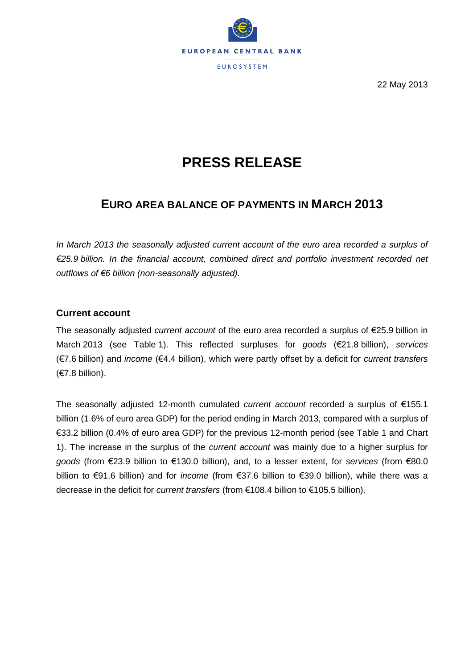

22 May 2013

# **PRESS RELEASE**

## **EURO AREA BALANCE OF PAYMENTS IN MARCH 2013**

In March 2013 the seasonally adjusted current account of the euro area recorded a surplus of *€25.9 billion. In the financial account, combined direct and portfolio investment recorded net outflows of €6 billion (non-seasonally adjusted).* 

#### **Current account**

The seasonally adjusted *current account* of the euro area recorded a surplus of €25.9 billion in March 2013 (see Table 1). This reflected surpluses for *goods* (€21.8 billion), *services* (€7.6 billion) and *income* (€4.4 billion), which were partly offset by a deficit for *current transfers* (€7.8 billion).

The seasonally adjusted 12-month cumulated *current account* recorded a surplus of €155.1 billion (1.6% of euro area GDP) for the period ending in March 2013, compared with a surplus of €33.2 billion (0.4% of euro area GDP) for the previous 12-month period (see Table 1 and Chart 1). The increase in the surplus of the *current account* was mainly due to a higher surplus for *goods* (from €23.9 billion to €130.0 billion), and, to a lesser extent, for *services* (from €80.0 billion to €91.6 billion) and for *income* (from €37.6 billion to €39.0 billion), while there was a decrease in the deficit for *current transfers* (from €108.4 billion to €105.5 billion).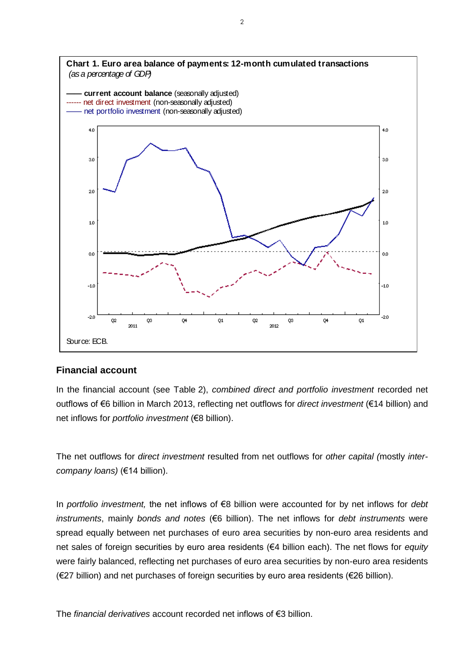

#### **Financial account**

In the financial account (see Table 2), *combined direct and portfolio investment* recorded net outflows of €6 billion in March 2013, reflecting net outflows for *direct investment* (€14 billion) and net inflows for *portfolio investment* (€8 billion).

The net outflows for *direct investment* resulted from net outflows for *other capital (*mostly *intercompany loans)* (€14 billion).

In *portfolio investment,* the net inflows of €8 billion were accounted for by net inflows for *debt instruments*, mainly *bonds and notes* (€6 billion). The net inflows for *debt instruments* were spread equally between net purchases of euro area securities by non-euro area residents and net sales of foreign securities by euro area residents (€4 billion each). The net flows for *equity*  were fairly balanced, reflecting net purchases of euro area securities by non-euro area residents (€27 billion) and net purchases of foreign securities by euro area residents (€26 billion).

The *financial derivatives* account recorded net inflows of €3 billion.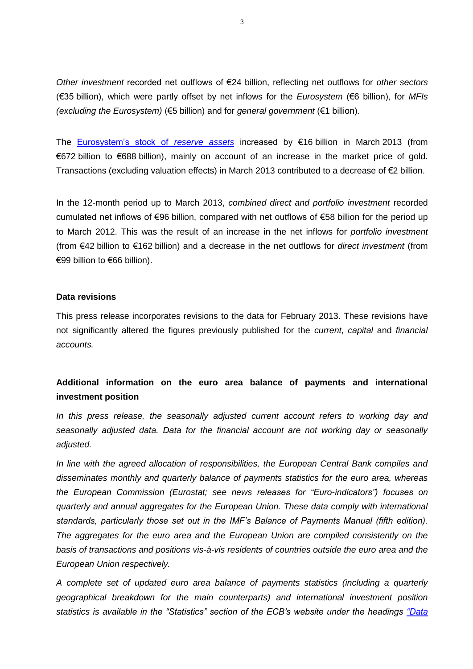*Other investment* recorded net outflows of €24 billion, reflecting net outflows for *other sectors* (€35 billion), which were partly offset by net inflows for the *Eurosystem* (€6 billion), for *MFIs (excluding the Eurosystem)* (€5 billion) and for *general government* (€1 billion).

The [Eurosystem's stock of](http://www.ecb.europa.eu/stats/external/reserves/html/index.en.html) *reserve assets* increased by €16 billion in March 2013 (from €672 billion to €688 billion), mainly on account of an increase in the market price of gold. Transactions (excluding valuation effects) in March 2013 contributed to a decrease of €2 billion.

In the 12-month period up to March 2013, *combined direct and portfolio investment* recorded cumulated net inflows of €96 billion, compared with net outflows of €58 billion for the period up to March 2012. This was the result of an increase in the net inflows for *portfolio investment* (from €42 billion to €162 billion) and a decrease in the net outflows for *direct investment* (from €99 billion to €66 billion).

#### **Data revisions**

This press release incorporates revisions to the data for February 2013. These revisions have not significantly altered the figures previously published for the *current*, *capital* and *financial accounts.*

## **Additional information on the euro area balance of payments and international investment position**

*In this press release, the seasonally adjusted current account refers to working day and seasonally adjusted data. Data for the financial account are not working day or seasonally adjusted.*

*In line with the agreed allocation of responsibilities, the European Central Bank compiles and disseminates monthly and quarterly balance of payments statistics for the euro area, whereas the European Commission (Eurostat; see news releases for "Euro-indicators") focuses on quarterly and annual aggregates for the European Union. These data comply with international standards, particularly those set out in the IMF's Balance of Payments Manual (fifth edition). The aggregates for the euro area and the European Union are compiled consistently on the basis of transactions and positions vis-à-vis residents of countries outside the euro area and the European Union respectively.*

*A complete set of updated euro area balance of payments statistics (including a quarterly geographical breakdown for the main counterparts) and international investment position statistics is available in the "Statistics" section of the ECB's website under the headings ["Data](http://www.ecb.europa.eu/stats/services/latest/html/index.en.html)*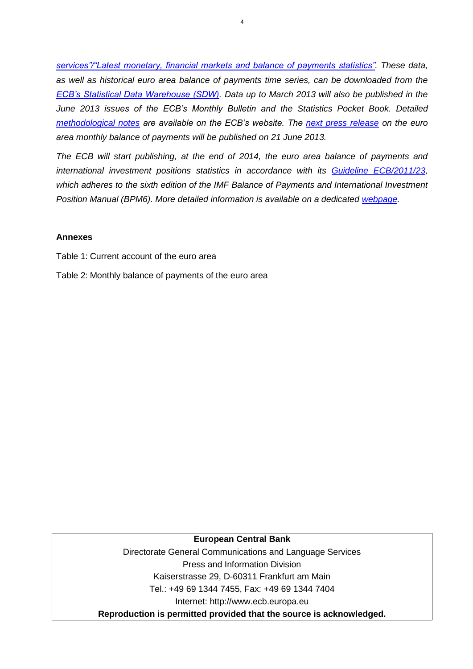*services"/"Latest monetary, financial markets and balance of payments statistics". These data, as well as historical euro area balance of payments time series, can be downloaded from the [ECB's Statistical Data Warehouse \(SDW\).](http://sdw.ecb.europa.eu/browse.do?node=2018790) Data up to March 2013 will also be published in the June 2013 issues of the ECB's Monthly Bulletin and the Statistics Pocket Book. [Detailed](http://www.ecb.europa.eu/stats/external/balance/html/index.en.html)  [methodological notes](http://www.ecb.europa.eu/stats/external/balance/html/index.en.html) are available on the ECB's website. The [next press release](http://www.ecb.int/events/calendar/statscal/ext/html/stprbp.en.html) on the euro area monthly balance of payments will be published on 21 June 2013.*

*The ECB will start publishing, at the end of 2014, the euro area balance of payments and international investment positions statistics in accordance with its [Guideline ECB/2011/23,](http://www.ecb.europa.eu/ecb/legal/1005/1022/html/index.en.html) which adheres to the sixth edition of the IMF Balance of Payments and International Investment Position Manual (BPM6). More detailed information is available on a dedicated [webpage.](http://www.ecb.europa.eu/stats/external/bpm6/html/index.en.html)*

#### **Annexes**

Table 1: Current account of the euro area

Table 2: Monthly balance of payments of the euro area

#### **European Central Bank**

Directorate General Communications and Language Services Press and Information Division Kaiserstrasse 29, D-60311 Frankfurt am Main Tel.: +49 69 1344 7455, Fax: +49 69 1344 7404 Internet: http://www.ecb.europa.eu **Reproduction is permitted provided that the source is acknowledged.**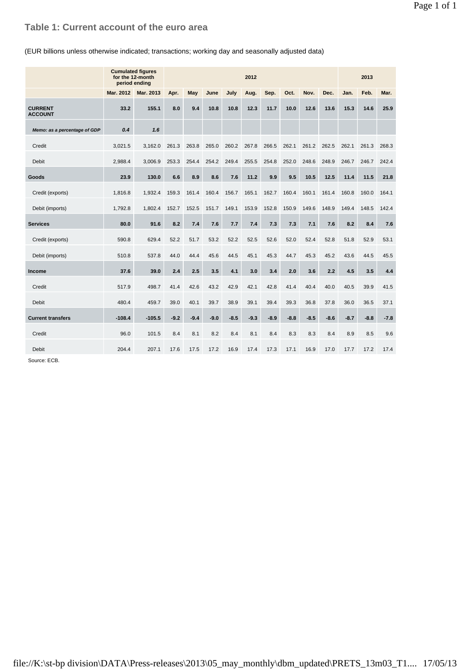### **Table 1: Current account of the euro area**

#### (EUR billions unless otherwise indicated; transactions; working day and seasonally adjusted data)

|                                  | <b>Cumulated figures</b><br>for the 12-month<br>period ending | 2012      |        |        |        |        |        |        |        |        | 2013   |        |        |        |
|----------------------------------|---------------------------------------------------------------|-----------|--------|--------|--------|--------|--------|--------|--------|--------|--------|--------|--------|--------|
|                                  | Mar. 2012                                                     | Mar. 2013 | Apr.   | May    | June   | July   | Aug.   | Sep.   | Oct.   | Nov.   | Dec.   | Jan.   | Feb.   | Mar.   |
| <b>CURRENT</b><br><b>ACCOUNT</b> | 33.2                                                          | 155.1     | 8.0    | 9.4    | 10.8   | 10.8   | 12.3   | 11.7   | 10.0   | 12.6   | 13.6   | 15.3   | 14.6   | 25.9   |
| Memo: as a percentage of GDP     | 0.4                                                           | 1.6       |        |        |        |        |        |        |        |        |        |        |        |        |
| Credit                           | 3.021.5                                                       | 3,162.0   | 261.3  | 263.8  | 265.0  | 260.2  | 267.8  | 266.5  | 262.1  | 261.2  | 262.5  | 262.1  | 261.3  | 268.3  |
| <b>Debit</b>                     | 2.988.4                                                       | 3.006.9   | 253.3  | 254.4  | 254.2  | 249.4  | 255.5  | 254.8  | 252.0  | 248.6  | 248.9  | 246.7  | 246.7  | 242.4  |
| Goods                            | 23.9                                                          | 130.0     | 6.6    | 8.9    | 8.6    | 7.6    | 11.2   | 9.9    | 9.5    | 10.5   | 12.5   | 11.4   | 11.5   | 21.8   |
| Credit (exports)                 | 1,816.8                                                       | 1,932.4   | 159.3  | 161.4  | 160.4  | 156.7  | 165.1  | 162.7  | 160.4  | 160.1  | 161.4  | 160.8  | 160.0  | 164.1  |
| Debit (imports)                  | 1,792.8                                                       | 1.802.4   | 152.7  | 152.5  | 151.7  | 149.1  | 153.9  | 152.8  | 150.9  | 149.6  | 148.9  | 149.4  | 148.5  | 142.4  |
| <b>Services</b>                  | 80.0                                                          | 91.6      | 8.2    | 7.4    | 7.6    | 7.7    | 7.4    | 7.3    | 7.3    | 7.1    | 7.6    | 8.2    | 8.4    | 7.6    |
| Credit (exports)                 | 590.8                                                         | 629.4     | 52.2   | 51.7   | 53.2   | 52.2   | 52.5   | 52.6   | 52.0   | 52.4   | 52.8   | 51.8   | 52.9   | 53.1   |
| Debit (imports)                  | 510.8                                                         | 537.8     | 44.0   | 44.4   | 45.6   | 44.5   | 45.1   | 45.3   | 44.7   | 45.3   | 45.2   | 43.6   | 44.5   | 45.5   |
| <b>Income</b>                    | 37.6                                                          | 39.0      | 2.4    | 2.5    | 3.5    | 4.1    | 3.0    | 3.4    | 2.0    | 3.6    | 2.2    | 4.5    | 3.5    | 4.4    |
| Credit                           | 517.9                                                         | 498.7     | 41.4   | 42.6   | 43.2   | 42.9   | 42.1   | 42.8   | 41.4   | 40.4   | 40.0   | 40.5   | 39.9   | 41.5   |
| <b>Debit</b>                     | 480.4                                                         | 459.7     | 39.0   | 40.1   | 39.7   | 38.9   | 39.1   | 39.4   | 39.3   | 36.8   | 37.8   | 36.0   | 36.5   | 37.1   |
| <b>Current transfers</b>         | $-108.4$                                                      | $-105.5$  | $-9.2$ | $-9.4$ | $-9.0$ | $-8.5$ | $-9.3$ | $-8.9$ | $-8.8$ | $-8.5$ | $-8.6$ | $-8.7$ | $-8.8$ | $-7.8$ |
| Credit                           | 96.0                                                          | 101.5     | 8.4    | 8.1    | 8.2    | 8.4    | 8.1    | 8.4    | 8.3    | 8.3    | 8.4    | 8.9    | 8.5    | 9.6    |
| Debit                            | 204.4                                                         | 207.1     | 17.6   | 17.5   | 17.2   | 16.9   | 17.4   | 17.3   | 17.1   | 16.9   | 17.0   | 17.7   | 17.2   | 17.4   |

Source: ECB.